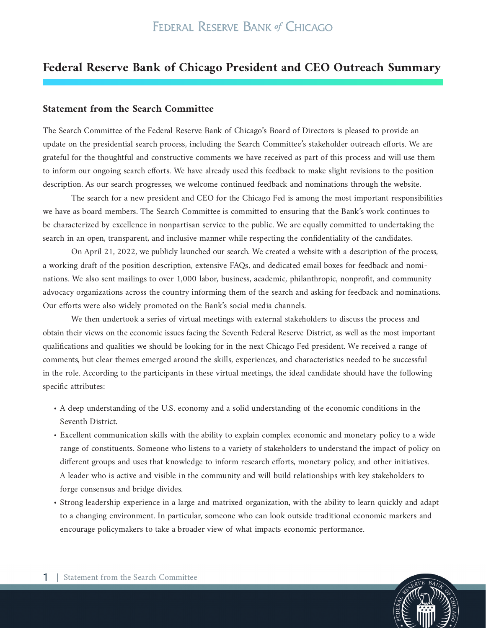## **Federal Reserve Bank of Chicago President and CEO Outreach Summary**

## **Statement from the Search Committee**

The Search Committee of the Federal Reserve Bank of Chicago's Board of Directors is pleased to provide an update on the presidential search process, including the Search Committee's stakeholder outreach efforts. We are grateful for the thoughtful and constructive comments we have received as part of this process and will use them to inform our ongoing search efforts. We have already used this feedback to make slight revisions to the position description. As our search progresses, we welcome continued feedback and nominations through the website.

The search for a new president and CEO for the Chicago Fed is among the most important responsibilities we have as board members. The Search Committee is committed to ensuring that the Bank's work continues to be characterized by excellence in nonpartisan service to the public. We are equally committed to undertaking the search in an open, transparent, and inclusive manner while respecting the confidentiality of the candidates.

On April 21, 2022, we publicly launched our search. We created a website with a description of the process, a working draft of the position description, extensive FAQs, and dedicated email boxes for feedback and nominations. We also sent mailings to over 1,000 labor, business, academic, philanthropic, nonprofit, and community advocacy organizations across the country informing them of the search and asking for feedback and nominations. Our efforts were also widely promoted on the Bank's social media channels.

We then undertook a series of virtual meetings with external stakeholders to discuss the process and obtain their views on the economic issues facing the Seventh Federal Reserve District, as well as the most important qualifications and qualities we should be looking for in the next Chicago Fed president. We received a range of comments, but clear themes emerged around the skills, experiences, and characteristics needed to be successful in the role. According to the participants in these virtual meetings, the ideal candidate should have the following specific attributes:

- A deep understanding of the U.S. economy and a solid understanding of the economic conditions in the Seventh District.
- Excellent communication skills with the ability to explain complex economic and monetary policy to a wide range of constituents. Someone who listens to a variety of stakeholders to understand the impact of policy on different groups and uses that knowledge to inform research efforts, monetary policy, and other initiatives. A leader who is active and visible in the community and will build relationships with key stakeholders to forge consensus and bridge divides.
- Strong leadership experience in a large and matrixed organization, with the ability to learn quickly and adapt to a changing environment. In particular, someone who can look outside traditional economic markers and encourage policymakers to take a broader view of what impacts economic performance.